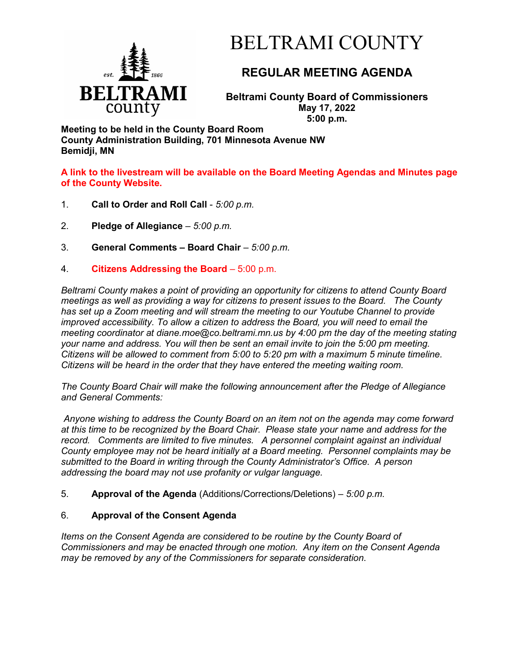

# BELTRAMI COUNTY

# **REGULAR MEETING AGENDA**

**Beltrami County Board of Commissioners May 17, 2022 5:00 p.m.**

**Meeting to be held in the County Board Room County Administration Building, 701 Minnesota Avenue NW Bemidji, MN**

**A link to the livestream will be available on the Board Meeting Agendas and Minutes page of the County Website.**

- 1. **Call to Order and Roll Call** *5:00 p.m.*
- 2. **Pledge of Allegiance**  *5:00 p.m.*
- 3. **General Comments – Board Chair** *5:00 p.m.*
- 4. **Citizens Addressing the Board**  5:00 p.m.

*Beltrami County makes a point of providing an opportunity for citizens to attend County Board meetings as well as providing a way for citizens to present issues to the Board. The County has set up a Zoom meeting and will stream the meeting to our Youtube Channel to provide improved accessibility. To allow a citizen to address the Board, you will need to email the meeting coordinator at diane.moe@co.beltrami.mn.us by 4:00 pm the day of the meeting stating your name and address. You will then be sent an email invite to join the 5:00 pm meeting. Citizens will be allowed to comment from 5:00 to 5:20 pm with a maximum 5 minute timeline. Citizens will be heard in the order that they have entered the meeting waiting room.* 

*The County Board Chair will make the following announcement after the Pledge of Allegiance and General Comments:*

*Anyone wishing to address the County Board on an item not on the agenda may come forward at this time to be recognized by the Board Chair. Please state your name and address for the record. Comments are limited to five minutes. A personnel complaint against an individual County employee may not be heard initially at a Board meeting. Personnel complaints may be submitted to the Board in writing through the County Administrator's Office. A person addressing the board may not use profanity or vulgar language.*

5. **Approval of the Agenda** (Additions/Corrections/Deletions) – *5:00 p.m.*

## 6. **Approval of the Consent Agenda**

*Items on the Consent Agenda are considered to be routine by the County Board of Commissioners and may be enacted through one motion. Any item on the Consent Agenda may be removed by any of the Commissioners for separate consideration*.